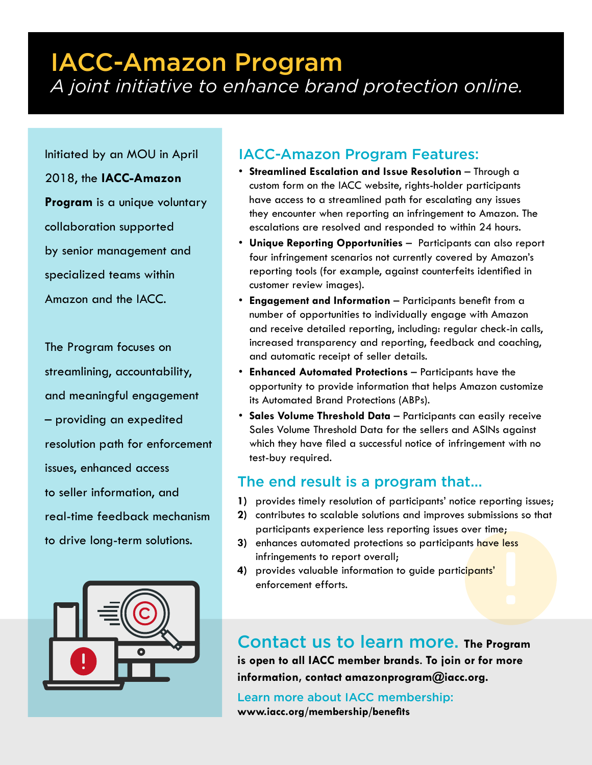## IACC-Amazon Program *A joint initiative to enhance brand protection online.*

Initiated by an MOU in April

2018, the **IACC-Amazon** 

**Program** is a unique voluntary collaboration supported by senior management and specialized teams within Amazon and the IACC.

The Program focuses on streamlining, accountability, and meaningful engagement – providing an expedited resolution path for enforcement issues, enhanced access to seller information, and real-time feedback mechanism to drive long-term solutions.



## IACC-Amazon Program Features:

- **Streamlined Escalation and Issue Resolution**  Through a custom form on the IACC website, rights-holder participants have access to a streamlined path for escalating any issues they encounter when reporting an infringement to Amazon. The escalations are resolved and responded to within 24 hours.
- **Unique Reporting Opportunities** Participants can also report four infringement scenarios not currently covered by Amazon's reporting tools (for example, against counterfeits identified in customer review images).
- **Engagement and Information** Participants benefit from a number of opportunities to individually engage with Amazon and receive detailed reporting, including: regular check-in calls, increased transparency and reporting, feedback and coaching, and automatic receipt of seller details.
- **Enhanced Automated Protections** Participants have the opportunity to provide information that helps Amazon customize its Automated Brand Protections (ABPs).
- **Sales Volume Threshold Data** Participants can easily receive Sales Volume Threshold Data for the sellers and ASINs against which they have filed a successful notice of infringement with no test-buy required.

## The end result is a program that...

- **1)** provides timely resolution of participants' notice reporting issues;
- **2)** contributes to scalable solutions and improves submissions so that participants experience less reporting issues over time;
- **3)** enhances automated protections so participants have less infringements to report overall;
- **4)** provides valuable information to guide participants' enforcement efforts.

Contact us to learn more. **The Program is open to all IACC member brands**. **To join or for more information, contact amazonprogram@iacc.org.**

Learn more about IACC membership: **www.iacc.org/membership/benefits**